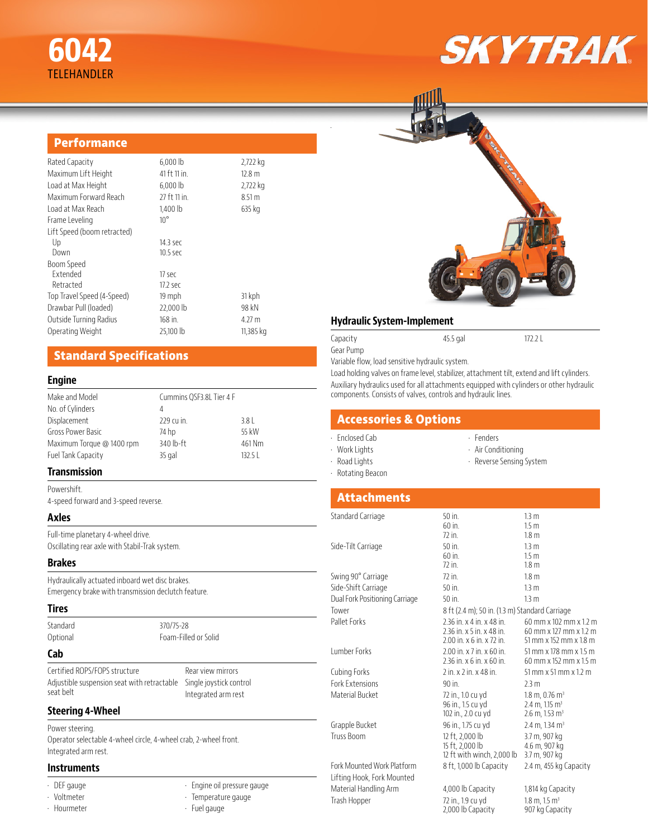# **6042** TELEHANDLER

# **SKYTRAK**

#### **Performance**

| Rated Capacity              | 6,000 lb     | 2,722 kg  |
|-----------------------------|--------------|-----------|
| Maximum Lift Height         | 41 ft 11 in. | 12.8 m    |
| Load at Max Height          | 6,000 lb     | 2,722 kg  |
| Maximum Forward Reach       | 27 ft 11 in. | 8.51 m    |
| Load at Max Reach           | $1.400$ lb   | 635 kg    |
| Frame Leveling              | $10^{\circ}$ |           |
| Lift Speed (boom retracted) |              |           |
| Up                          | 14.3 sec     |           |
| Down                        | $10.5$ sec   |           |
| Boom Speed                  |              |           |
| <b>Fxtended</b>             | 17 sec       |           |
| Retracted                   | 17.2 sec     |           |
| Top Travel Speed (4-Speed)  | 19 mph       | 31 kph    |
| Drawbar Pull (loaded)       | 22,000 lb    | 98 kN     |
| Outside Turning Radius      | 168 in.      | 4.27 m    |
| Operating Weight            | 25,100 lb    | 11,385 kg |
|                             |              |           |

## **Standard Specifications**

#### **Engine**

| Make and Model            | Cummins QSF3.8L Tier 4 F |        |
|---------------------------|--------------------------|--------|
| No. of Cylinders          | 4                        |        |
| Displacement              | 229 cu in.               | 3.8    |
| Gross Power Basic         | 74 hp                    | 55 kW  |
| Maximum Torque @ 1400 rpm | $340$ lb-ft              | 461 Nm |
| Fuel Tank Capacity        | $35$ gal                 | 13251  |

#### **Transmission**

Powershift. 4-speed forward and 3-speed reverse.

#### **Axles**

Full-time planetary 4-wheel drive. Oscillating rear axle with Stabil-Trak system.

#### **Brakes**

Hydraulically actuated inboard wet disc brakes. Emergency brake with transmission declutch feature.

#### **Tires**

Standard 370/75-28

Optional Foam-Filled or Solid

#### **Cab**

Certified ROPS/FOPS structure Adjustible suspension seat with retractable Single joystick control seat belt

Rear view mirrors Integrated arm rest

#### **Steering 4-Wheel**

Power steering. Operator selectable 4-wheel circle, 4-wheel crab, 2-wheel front. Integrated arm rest.

#### **Instruments**

• DEF gauge

- Voltmeter
- Hourmeter
- Engine oil pressure gauge • Temperature gauge
- Fuel gauge



#### **Hydraulic System-Implement**

Capacity 45.5 gal 172.2 L

Gear Pump

Variable flow, load sensitive hydraulic system.

Load holding valves on frame level, stabilizer, attachment tilt, extend and lift cylinders. Auxiliary hydraulics used for all attachments equipped with cylinders or other hydraulic components. Consists of valves, controls and hydraulic lines.

#### **Accessories & Options**

- Enclosed Cab
- Work Lights
- Road Lights
- Fenders • Air Conditioning
- Reverse Sensing System
- Rotating Beacon
- 

# **Attachments**

| Standard Carriage              | 50 in.                                         | 13 <sub>m</sub>                       |
|--------------------------------|------------------------------------------------|---------------------------------------|
|                                | $60$ in.                                       | 1.5 <sub>m</sub>                      |
|                                | 72 in.                                         | 1.8 <sub>m</sub>                      |
| Side-Tilt Carriage             | $50$ in.                                       | 13 <sub>m</sub>                       |
|                                | 60 in.                                         | 1.5 <sub>m</sub>                      |
|                                | 72 in.                                         | 1.8 <sub>m</sub>                      |
| Swing 90° Carriage             | 72 in.                                         | 1.8 <sub>m</sub>                      |
| Side-Shift Carriage            | $50$ in.                                       | 13 <sub>m</sub>                       |
| Dual Fork Positioning Carriage | 50 in.                                         | 13 <sub>m</sub>                       |
| Tower                          | 8 ft (2.4 m); 50 in. (1.3 m) Standard Carriage |                                       |
| Pallet Forks                   | 2.36 in. x 4 in. x 48 in.                      | 60 mm x 102 mm x 1.2 m                |
|                                | 2.36 in. x 5 in. x 48 in.                      | 60 mm x 127 mm x 1.2 m                |
|                                | 2.00 in. x 6 in. x 72 in.                      | 51 mm x 152 mm x 1.8 m                |
| Lumber Forks                   | 2.00 in. x 7 in. x 60 in.                      | 51 mm x 178 mm x 1.5 m                |
|                                | 2.36 in. x 6 in. x 60 in.                      | 60 mm x 152 mm x 1.5 m                |
| Cubing Forks                   | 2 in. x 2 in. x 48 in.                         | $51$ mm x $51$ mm x $1.2$ m           |
| Fork Extensions                | $90$ in.                                       | 2.3 m                                 |
| Material Bucket                | 72 in., 1.0 cu yd                              | $1.8$ m, 0.76 m <sup>3</sup>          |
|                                | 96 in., 1.5 cu yd                              | $2.4 \text{ m}$ , 1.15 m <sup>3</sup> |
|                                | 102 in., 2.0 cu yd                             | $2.6$ m, $1.53$ m <sup>3</sup>        |
| Grapple Bucket                 | 96 in., 1.75 cu yd                             | $2.4$ m, 1.34 m <sup>3</sup>          |
| Truss Boom                     | 12 ft, 2,000 lb                                | 3.7 m, 907 kg                         |
|                                | 15 ft, 2,000 lb                                | 4.6 m, 907 kg                         |
|                                | 12 ft with winch, 2,000 lb                     | 3.7 m, 907 kg                         |
| Fork Mounted Work Platform     | 8 ft, 1,000 lb Capacity                        | 2.4 m, 455 kg Capacity                |
| Lifting Hook, Fork Mounted     |                                                |                                       |
| Material Handling Arm          | 4,000 lb Capacity                              | 1,814 kg Capacity                     |
| Trash Hopper                   | 72 in., 1.9 cu yd                              | $1.8 \text{ m}$ , $1.5 \text{ m}^3$   |
|                                | 2,000 lb Capacity                              | 907 kg Capacity                       |
|                                |                                                |                                       |